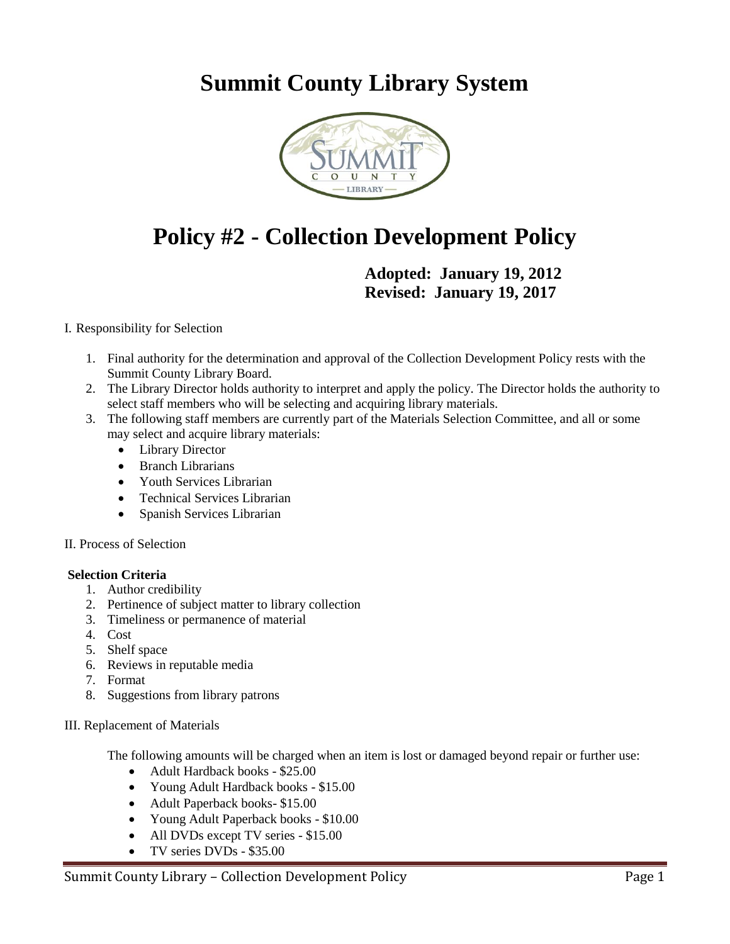## **Summit County Library System**



# **Policy #2 - Collection Development Policy**

**Adopted: January 19, 2012 Revised: January 19, 2017**

#### I. Responsibility for Selection

- 1. Final authority for the determination and approval of the Collection Development Policy rests with the Summit County Library Board.
- 2. The Library Director holds authority to interpret and apply the policy. The Director holds the authority to select staff members who will be selecting and acquiring library materials.
- 3. The following staff members are currently part of the Materials Selection Committee, and all or some may select and acquire library materials:
	- Library Director
	- Branch Librarians
	- Youth Services Librarian
	- Technical Services Librarian
	- Spanish Services Librarian

#### II. Process of Selection

#### **Selection Criteria**

- 1. Author credibility
- 2. Pertinence of subject matter to library collection
- 3. Timeliness or permanence of material
- 4. Cost
- 5. Shelf space
- 6. Reviews in reputable media
- 7. Format
- 8. Suggestions from library patrons

#### III. Replacement of Materials

The following amounts will be charged when an item is lost or damaged beyond repair or further use:

- Adult Hardback books \$25.00
- Young Adult Hardback books \$15.00
- Adult Paperback books- \$15.00
- Young Adult Paperback books \$10.00
- All DVDs except TV series \$15.00
- TV series DVDs \$35.00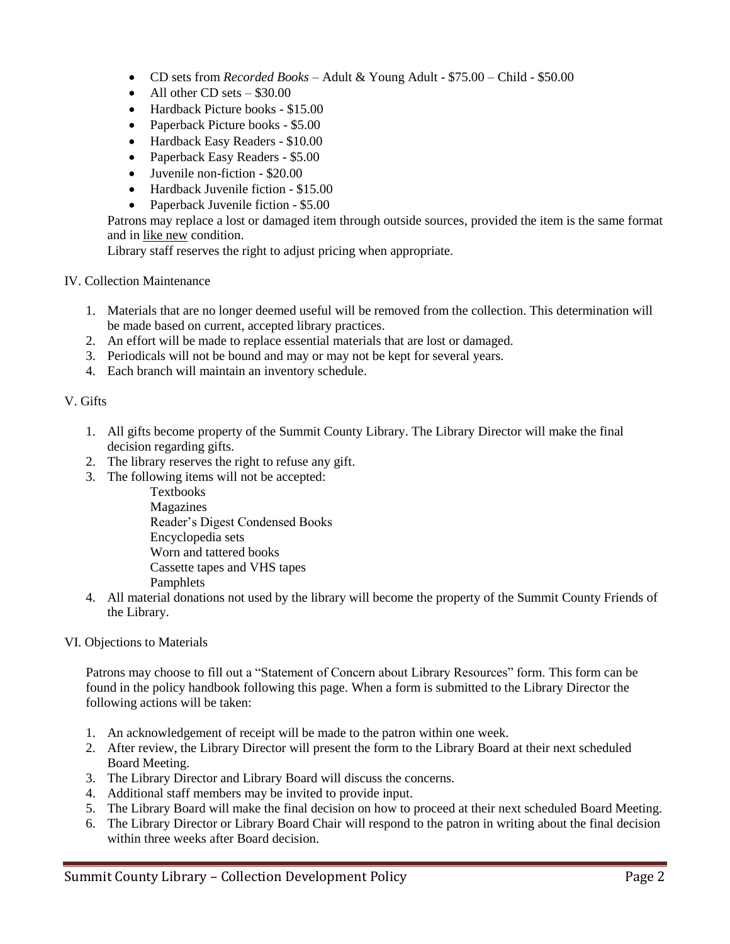- CD sets from *Recorded Books* Adult & Young Adult \$75.00 Child \$50.00
- $\bullet$  All other CD sets  $-$  \$30.00
- Hardback Picture books \$15.00
- Paperback Picture books \$5.00
- Hardback Easy Readers \$10.00
- Paperback Easy Readers \$5.00
- Juvenile non-fiction \$20.00
- Hardback Juvenile fiction \$15.00
- Paperback Juvenile fiction \$5.00

Patrons may replace a lost or damaged item through outside sources, provided the item is the same format and in like new condition.

Library staff reserves the right to adjust pricing when appropriate.

#### IV. Collection Maintenance

- 1. Materials that are no longer deemed useful will be removed from the collection. This determination will be made based on current, accepted library practices.
- 2. An effort will be made to replace essential materials that are lost or damaged.
- 3. Periodicals will not be bound and may or may not be kept for several years.
- 4. Each branch will maintain an inventory schedule.

#### V. Gifts

- 1. All gifts become property of the Summit County Library. The Library Director will make the final decision regarding gifts.
- 2. The library reserves the right to refuse any gift.
- 3. The following items will not be accepted:

Textbooks Magazines Reader's Digest Condensed Books Encyclopedia sets Worn and tattered books Cassette tapes and VHS tapes Pamphlets

- 4. All material donations not used by the library will become the property of the Summit County Friends of the Library.
- VI. Objections to Materials

Patrons may choose to fill out a "Statement of Concern about Library Resources" form. This form can be found in the policy handbook following this page. When a form is submitted to the Library Director the following actions will be taken:

- 1. An acknowledgement of receipt will be made to the patron within one week.
- 2. After review, the Library Director will present the form to the Library Board at their next scheduled Board Meeting.
- 3. The Library Director and Library Board will discuss the concerns.
- 4. Additional staff members may be invited to provide input.
- 5. The Library Board will make the final decision on how to proceed at their next scheduled Board Meeting.
- 6. The Library Director or Library Board Chair will respond to the patron in writing about the final decision within three weeks after Board decision.